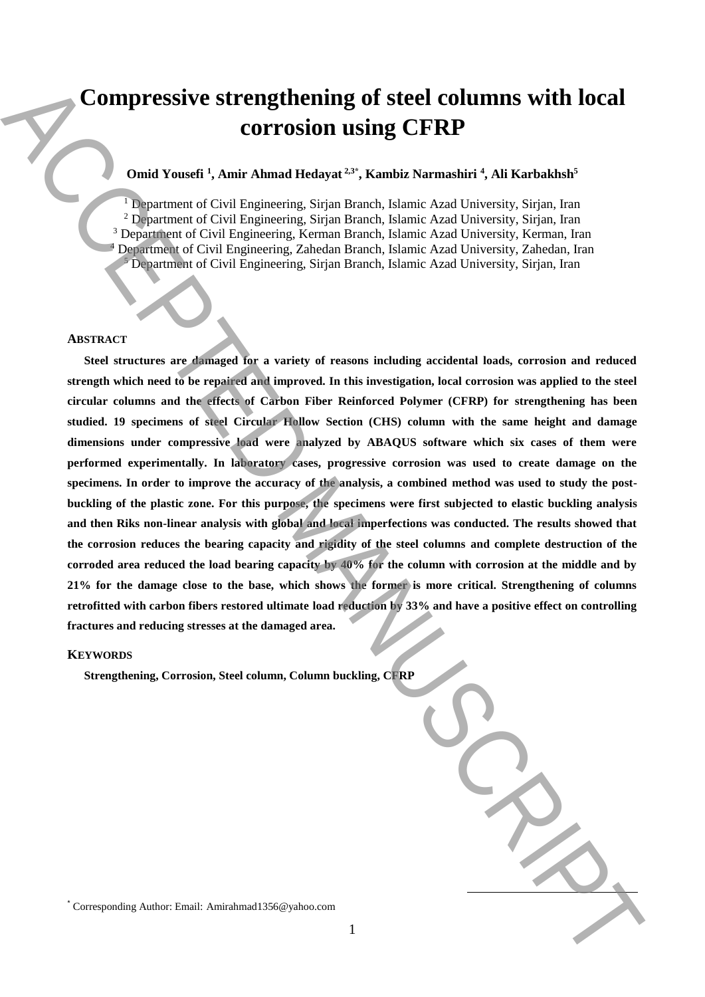# **Compressive strengthening of steel columns with local corrosion using CFRP**

# **Omid Yousefi <sup>1</sup> , Amir Ahmad Hedayat 2,3\* , Kambiz Narmashiri <sup>4</sup> , Ali Karbakhsh<sup>5</sup>**

<sup>1</sup> Department of Civil Engineering, Sirjan Branch, Islamic Azad University, Sirjan, Iran <sup>2</sup> Department of Civil Engineering, Sirjan Branch, Islamic Azad University, Sirjan, Iran <sup>3</sup> Department of Civil Engineering, Kerman Branch, Islamic Azad University, Kerman, Iran <sup>4</sup> Department of Civil Engineering, Zahedan Branch, Islamic Azad University, Zahedan, Iran <sup>5</sup> Department of Civil Engineering, Sirjan Branch, Islamic Azad University, Sirjan, Iran

#### **ABSTRACT**

**Steel structures are damaged for a variety of reasons including accidental loads, corrosion and reduced strength which need to be repaired and improved. In this investigation, local corrosion was applied to the steel circular columns and the effects of Carbon Fiber Reinforced Polymer (CFRP) for strengthening has been studied. 19 specimens of steel Circular Hollow Section (CHS) column with the same height and damage dimensions under compressive load were analyzed by ABAQUS software which six cases of them were performed experimentally. In laboratory cases, progressive corrosion was used to create damage on the specimens. In order to improve the accuracy of the analysis, a combined method was used to study the postbuckling of the plastic zone. For this purpose, the specimens were first subjected to elastic buckling analysis and then Riks non-linear analysis with global and local imperfections was conducted. The results showed that the corrosion reduces the bearing capacity and rigidity of the steel columns and complete destruction of the corroded area reduced the load bearing capacity by 40% for the column with corrosion at the middle and by 21% for the damage close to the base, which shows the former is more critical. Strengthening of columns retrofitted with carbon fibers restored ultimate load reduction by 33% and have a positive effect on controlling fractures and reducing stresses at the damaged area.** Compressive strengthening of steel columns with local<br>correction in Sing CFRP<br>constrained ( $\sim$ A inter-Amira Analysis Proposition). The correction of the correction of the correction of the correction of the correction of

#### **KEYWORDS**

**Strengthening, Corrosion, Steel column, Column buckling, CFRP**

 $\overline{a}$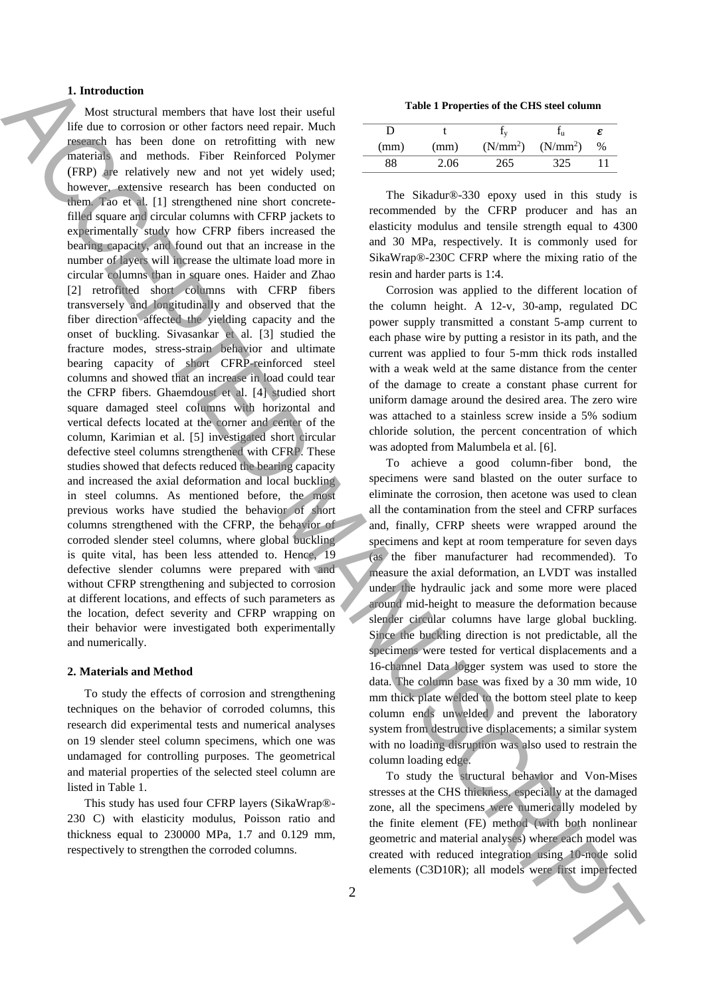# **1. Introduction**

Most structural members that have lost their useful life due to corrosion or other factors need repair. Much research has been done on retrofitting with new materials and methods. Fiber Reinforced Polymer (FRP) are relatively new and not yet widely used; however, extensive research has been conducted on them. Tao et al. [1] strengthened nine short concretefilled square and circular columns with CFRP jackets to experimentally study how CFRP fibers increased the bearing capacity, and found out that an increase in the number of layers will increase the ultimate load more in circular columns than in square ones. Haider and Zhao [2] retrofitted short columns with CFRP fibers transversely and longitudinally and observed that the fiber direction affected the yielding capacity and the onset of buckling. Sivasankar et al. [3] studied the fracture modes, stress-strain behavior and ultimate bearing capacity of short CFRP-reinforced steel columns and showed that an increase in load could tear the CFRP fibers. Ghaemdoust et al. [4] studied short square damaged steel columns with horizontal and vertical defects located at the corner and center of the column, Karimian et al. [5] investigated short circular defective steel columns strengthened with CFRP. These studies showed that defects reduced the bearing capacity and increased the axial deformation and local buckling in steel columns. As mentioned before, the most previous works have studied the behavior of short columns strengthened with the CFRP, the behavior of corroded slender steel columns, where global buckling is quite vital, has been less attended to. Hence, 19 defective slender columns were prepared with and without CFRP strengthening and subjected to corrosion at different locations, and effects of such parameters as the location, defect severity and CFRP wrapping on their behavior were investigated both experimentally and numerically. **1.** Interest the material of the three interest in the theoretical interest in the control of the material of the material of the material of the material of the material of the material of the material of the material o

## **2. Materials and Method**

To study the effects of corrosion and strengthening techniques on the behavior of corroded columns, this research did experimental tests and numerical analyses on 19 slender steel column specimens, which one was undamaged for controlling purposes. The geometrical and material properties of the selected steel column are listed in Table 1.

This study has used four CFRP layers (SikaWrap®- 230 C) with elasticity modulus, Poisson ratio and thickness equal to 230000 MPa, 1.7 and 0.129 mm, respectively to strengthen the corroded columns.

**Table 1 Properties of the CHS steel column**

|      |      |                      |                      | ε |
|------|------|----------------------|----------------------|---|
| (mm) | (mm) | (N/mm <sup>2</sup> ) | (N/mm <sup>2</sup> ) | % |
| 88   | 2.06 | 265                  | 325                  |   |

The Sikadur®-330 epoxy used in this study is recommended by the CFRP producer and has an elasticity modulus and tensile strength equal to 4300 and 30 MPa, respectively. It is commonly used for SikaWrap®-230C CFRP where the mixing ratio of the resin and harder parts is 1:4.

Corrosion was applied to the different location of the column height. A 12-v, 30-amp, regulated DC power supply transmitted a constant 5-amp current to each phase wire by putting a resistor in its path, and the current was applied to four 5-mm thick rods installed with a weak weld at the same distance from the center of the damage to create a constant phase current for uniform damage around the desired area. The zero wire was attached to a stainless screw inside a 5% sodium chloride solution, the percent concentration of which was adopted from Malumbela et al. [6].

To achieve a good column-fiber bond, the specimens were sand blasted on the outer surface to eliminate the corrosion, then acetone was used to clean all the contamination from the steel and CFRP surfaces and, finally, CFRP sheets were wrapped around the specimens and kept at room temperature for seven days (as the fiber manufacturer had recommended). To measure the axial deformation, an LVDT was installed under the hydraulic jack and some more were placed around mid-height to measure the deformation because slender circular columns have large global buckling. Since the buckling direction is not predictable, all the specimens were tested for vertical displacements and a 16-channel Data logger system was used to store the data. The column base was fixed by a 30 mm wide, 10 mm thick plate welded to the bottom steel plate to keep column ends unwelded and prevent the laboratory system from destructive displacements; a similar system with no loading disruption was also used to restrain the column loading edge.

To study the structural behavior and Von-Mises stresses at the CHS thickness, especially at the damaged zone, all the specimens were numerically modeled by the finite element (FE) method (with both nonlinear geometric and material analyses) where each model was created with reduced integration using 10-node solid